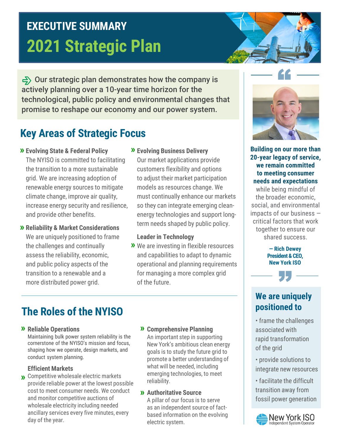# **2021 Strategic Plan EXECUTIVE SUMMARY**

 $\Rightarrow$  Our strategic plan demonstrates how the company is actively planning over a 10-year time horizon for the technological, public policy and environmental changes that promise to reshape our economy and our power system.

## **Key Areas of Strategic Focus**

**Evolving State & Federal Policy »**

The NYISO is committed to facilitating the transition to a more sustainable grid. We are increasing adoption of renewable energy sources to mitigate climate change, improve air quality, increase energy security and resilience, and provide other benefits.

- **Reliability & Market Considerations »** We are uniquely positioned to frame the challenges and continually assess the reliability, economic, and public policy aspects of the transition to a renewable and a more distributed power grid.
- **Evolving Business Delivery »** Our market applications provide customers flexibility and options to adjust their market participation models as resources change. We must continually enhance our markets so they can integrate emerging cleanenergy technologies and support longterm needs shaped by public policy.

#### **Leader in Technology**

We are investing in flexible resources **»** and capabilities to adapt to dynamic operational and planning requirements for managing a more complex grid of the future.

## **The Roles of the NYISO**

### **Reliable Operations » »**

Maintaining bulk power system reliability is the cornerstone of the NYISO's mission and focus, shaping how we operate, design markets, and conduct system planning.

#### **Efficient Markets**

- Competitive wholesale electric markets **»** provide reliable power at the lowest possible cost to meet consumer needs. We conduct and monitor competitive auctions of wholesale electricity including needed ancillary services every five minutes, every day of the year.
- **22 Comprehensive Planning** An important step in supporting New York's ambitious clean energy goals is to study the future grid to promote a better understanding of what will be needed, including emerging technologies, to meet reliability.
- **Authoritative Source »**

A pillar of our focus is to serve as an independent source of factbased information on the evolving electric system.



**Building on our more than 20-year legacy of service, we remain committed to meeting consumer needs and expectations** 

while being mindful of the broader economic, social, and environmental impacts of our business ― critical factors that work together to ensure our shared success.

> **— Rich Dewey President & CEO, New York ISO**

## **We are uniquely positioned to**

• frame the challenges associated with rapid transformation of the grid

• provide solutions to integrate new resources

• facilitate the difficult transition away from fossil power generation